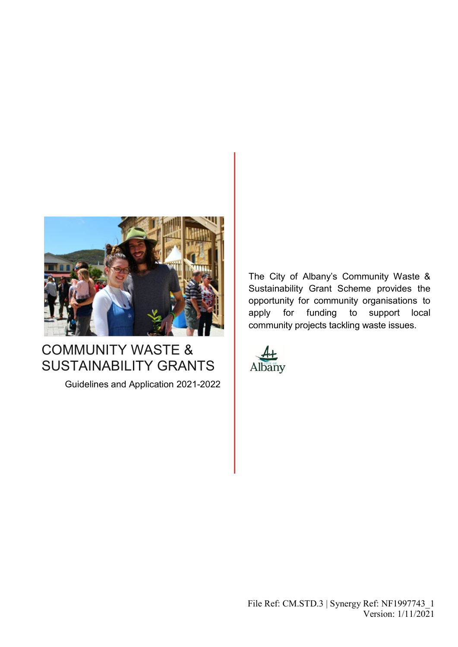

# COMMUNITY WASTE & SUSTAINABILITY GRANTS

Guidelines and Application 2021-2022

The City of Albany's Community Waste & Sustainability Grant Scheme provides the opportunity for community organisations to apply for funding to support local community projects tackling waste issues.



File Ref: CM.STD.3 | Synergy Ref: NF1997743\_1 Version: 1/11/2021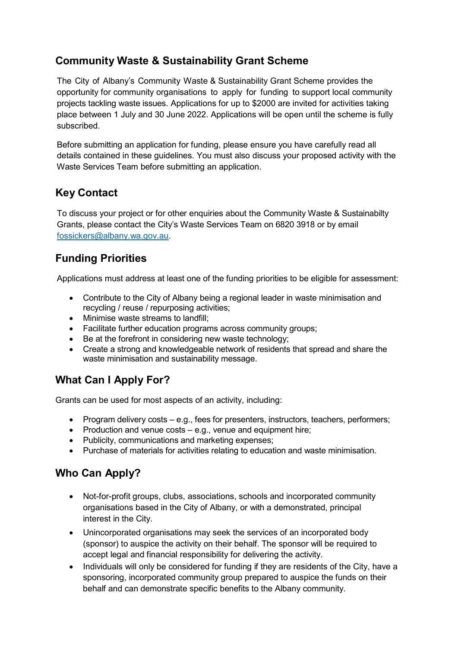## **Community Waste & Sustainability Grant Scheme**

The City of Albany's Community Waste & Sustainability Grant Scheme provides the opportunity for community organisations to apply for funding to support local community projects tackling waste issues. Applications for up to \$2000 are invited for activities taking place between 1 July and 30 June 2022. Applications will be open until the scheme is fully subscribed.

Before submitting an application for funding, please ensure you have carefully read all details contained in these guidelines. You must also discuss your proposed activity with the Waste Services Team before submitting an application.

## **Key Contact**

To discuss your project or for other enquiries about the Community Waste & Sustainabilty Grants, please contact the City's Waste Services Team on 6820 3918 or by email [fossickers@albany.wa.gov.au.](mailto:fossickers@albany.wa.gov.au)

## **Funding Priorities**

Applications must address at least one of the funding priorities to be eligible for assessment:

- Contribute to the City of Albany being a regional leader in waste minimisation and recycling / reuse / repurposing activities;
- Minimise waste streams to landfill;
- Facilitate further education programs across community groups;
- Be at the forefront in considering new waste technology;
- Create a strong and knowledgeable network of residents that spread and share the waste minimisation and sustainability message.

## **What Can I Apply For?**

Grants can be used for most aspects of an activity, including:

- Program delivery costs e.g., fees for presenters, instructors, teachers, performers;
- Production and venue costs e.g., venue and equipment hire;
- Publicity, communications and marketing expenses;
- Purchase of materials for activities relating to education and waste minimisation.

## **Who Can Apply?**

- Not-for-profit groups, clubs, associations, schools and incorporated community organisations based in the City of Albany, or with a demonstrated, principal interest in the City.
- Unincorporated organisations may seek the services of an incorporated body (sponsor) to auspice the activity on their behalf. The sponsor will be required to accept legal and financial responsibility for delivering the activity.
- Individuals will only be considered for funding if they are residents of the City, have a sponsoring, incorporated community group prepared to auspice the funds on their behalf and can demonstrate specific benefits to the Albany community.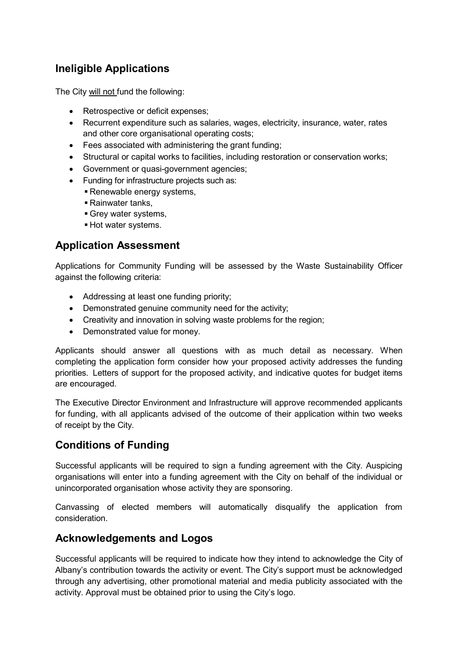## **Ineligible Applications**

The City will not fund the following:

- Retrospective or deficit expenses;
- Recurrent expenditure such as salaries, wages, electricity, insurance, water, rates and other core organisational operating costs;
- Fees associated with administering the grant funding;
- Structural or capital works to facilities, including restoration or conservation works;
- Government or quasi-government agencies;
- Funding for infrastructure projects such as:
	- **Renewable energy systems,**
	- Rainwater tanks,
	- Grey water systems,
	- Hot water systems.

#### **Application Assessment**

Applications for Community Funding will be assessed by the Waste Sustainability Officer against the following criteria:

- Addressing at least one funding priority;
- Demonstrated genuine community need for the activity;
- Creativity and innovation in solving waste problems for the region;
- Demonstrated value for money.

Applicants should answer all questions with as much detail as necessary. When completing the application form consider how your proposed activity addresses the funding priorities. Letters of support for the proposed activity, and indicative quotes for budget items are encouraged.

The Executive Director Environment and Infrastructure will approve recommended applicants for funding, with all applicants advised of the outcome of their application within two weeks of receipt by the City.

## **Conditions of Funding**

Successful applicants will be required to sign a funding agreement with the City. Auspicing organisations will enter into a funding agreement with the City on behalf of the individual or unincorporated organisation whose activity they are sponsoring.

Canvassing of elected members will automatically disqualify the application from consideration.

#### **Acknowledgements and Logos**

Successful applicants will be required to indicate how they intend to acknowledge the City of Albany's contribution towards the activity or event. The City's support must be acknowledged through any advertising, other promotional material and media publicity associated with the activity. Approval must be obtained prior to using the City's logo.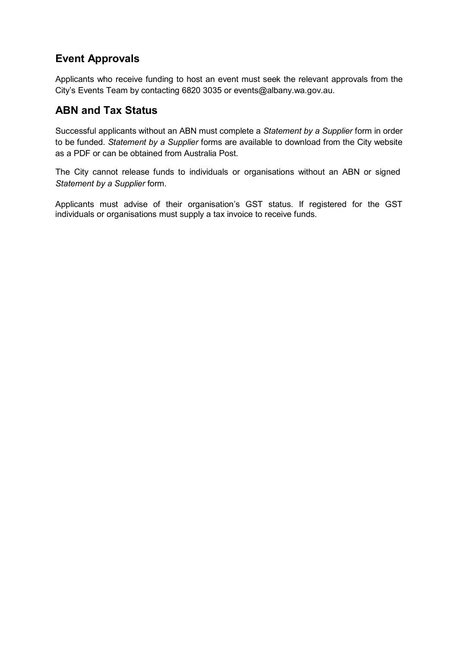## **Event Approvals**

Applicants who receive funding to host an event must seek the relevant approvals from the City's Events Team by contacting 6820 3035 or [events@albany.wa.gov.au.](mailto:events@albany.wa.gov.au)

#### **ABN and Tax Status**

Successful applicants without an ABN must complete a *Statement by a Supplier* form in order to be funded. *Statement by a Supplier* forms are available to download from the City website as a PDF or can be obtained from Australia Post.

The City cannot release funds to individuals or organisations without an ABN or signed *Statement by a Supplier* form.

Applicants must advise of their organisation's GST status. If registered for the GST individuals or organisations must supply a tax invoice to receive funds.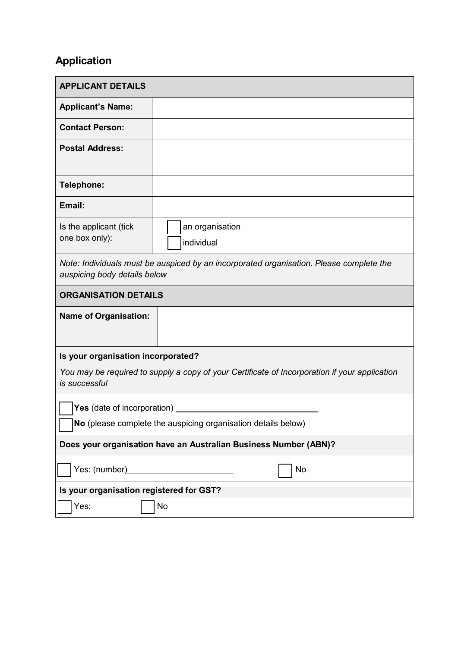## **Application**

| <b>APPLICANT DETAILS</b>                                                                                                |                               |  |
|-------------------------------------------------------------------------------------------------------------------------|-------------------------------|--|
| <b>Applicant's Name:</b>                                                                                                |                               |  |
| <b>Contact Person:</b>                                                                                                  |                               |  |
| <b>Postal Address:</b>                                                                                                  |                               |  |
| Telephone:                                                                                                              |                               |  |
| Email:                                                                                                                  |                               |  |
| Is the applicant (tick<br>one box only):                                                                                | an organisation<br>individual |  |
| Note: Individuals must be auspiced by an incorporated organisation. Please complete the<br>auspicing body details below |                               |  |
| <b>ORGANISATION DETAILS</b>                                                                                             |                               |  |
| <b>Name of Organisation:</b>                                                                                            |                               |  |
| Is your organisation incorporated?                                                                                      |                               |  |
| You may be required to supply a copy of your Certificate of Incorporation if your application<br>is successful          |                               |  |
|                                                                                                                         |                               |  |
| $\sqrt{}$ No (please complete the auspicing organisation details below)                                                 |                               |  |
| Does your organisation have an Australian Business Number (ABN)?                                                        |                               |  |
| Yes: (number)_<br>No                                                                                                    |                               |  |
| Is your organisation registered for GST?                                                                                |                               |  |
| No<br>Yes:                                                                                                              |                               |  |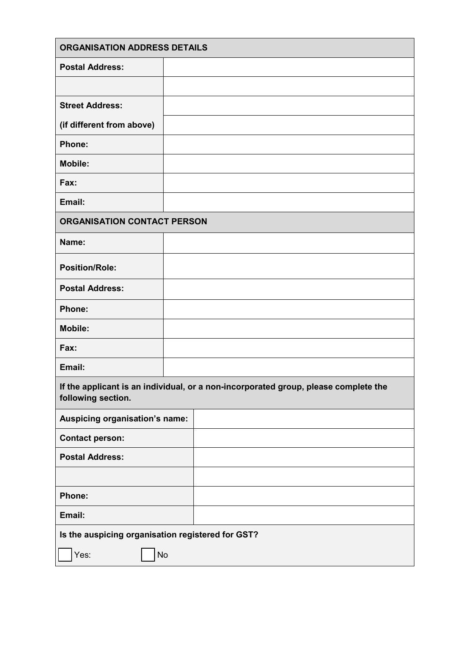| <b>ORGANISATION ADDRESS DETAILS</b>                                                                       |  |  |  |  |
|-----------------------------------------------------------------------------------------------------------|--|--|--|--|
| <b>Postal Address:</b>                                                                                    |  |  |  |  |
|                                                                                                           |  |  |  |  |
| <b>Street Address:</b>                                                                                    |  |  |  |  |
| (if different from above)                                                                                 |  |  |  |  |
| Phone:                                                                                                    |  |  |  |  |
| <b>Mobile:</b>                                                                                            |  |  |  |  |
| Fax:                                                                                                      |  |  |  |  |
| Email:                                                                                                    |  |  |  |  |
| <b>ORGANISATION CONTACT PERSON</b>                                                                        |  |  |  |  |
| Name:                                                                                                     |  |  |  |  |
| <b>Position/Role:</b>                                                                                     |  |  |  |  |
| <b>Postal Address:</b>                                                                                    |  |  |  |  |
| Phone:                                                                                                    |  |  |  |  |
| <b>Mobile:</b>                                                                                            |  |  |  |  |
| Fax:                                                                                                      |  |  |  |  |
| Email:                                                                                                    |  |  |  |  |
| If the applicant is an individual, or a non-incorporated group, please complete the<br>following section. |  |  |  |  |
| Auspicing organisation's name:                                                                            |  |  |  |  |
| <b>Contact person:</b>                                                                                    |  |  |  |  |
| <b>Postal Address:</b>                                                                                    |  |  |  |  |
|                                                                                                           |  |  |  |  |
| Phone:                                                                                                    |  |  |  |  |
| Email:                                                                                                    |  |  |  |  |
| Is the auspicing organisation registered for GST?                                                         |  |  |  |  |
| Yes:<br>No                                                                                                |  |  |  |  |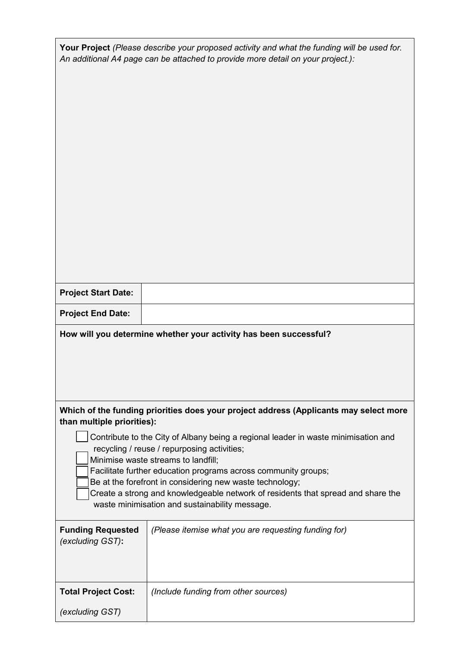| Your Project (Please describe your proposed activity and what the funding will be used for.<br>An additional A4 page can be attached to provide more detail on your project.):                                                                                                                                                                                                                                                                                                                                                                                      |                                                                   |  |  |
|---------------------------------------------------------------------------------------------------------------------------------------------------------------------------------------------------------------------------------------------------------------------------------------------------------------------------------------------------------------------------------------------------------------------------------------------------------------------------------------------------------------------------------------------------------------------|-------------------------------------------------------------------|--|--|
|                                                                                                                                                                                                                                                                                                                                                                                                                                                                                                                                                                     |                                                                   |  |  |
| <b>Project Start Date:</b>                                                                                                                                                                                                                                                                                                                                                                                                                                                                                                                                          |                                                                   |  |  |
| <b>Project End Date:</b>                                                                                                                                                                                                                                                                                                                                                                                                                                                                                                                                            |                                                                   |  |  |
|                                                                                                                                                                                                                                                                                                                                                                                                                                                                                                                                                                     | How will you determine whether your activity has been successful? |  |  |
| Which of the funding priorities does your project address (Applicants may select more<br>than multiple priorities):<br>Contribute to the City of Albany being a regional leader in waste minimisation and<br>recycling / reuse / repurposing activities;<br>Minimise waste streams to landfill;<br>Facilitate further education programs across community groups;<br>Be at the forefront in considering new waste technology;<br>Create a strong and knowledgeable network of residents that spread and share the<br>waste minimisation and sustainability message. |                                                                   |  |  |
| <b>Funding Requested</b><br>(excluding GST):                                                                                                                                                                                                                                                                                                                                                                                                                                                                                                                        | (Please itemise what you are requesting funding for)              |  |  |
| <b>Total Project Cost:</b><br>(excluding GST)                                                                                                                                                                                                                                                                                                                                                                                                                                                                                                                       | (Include funding from other sources)                              |  |  |